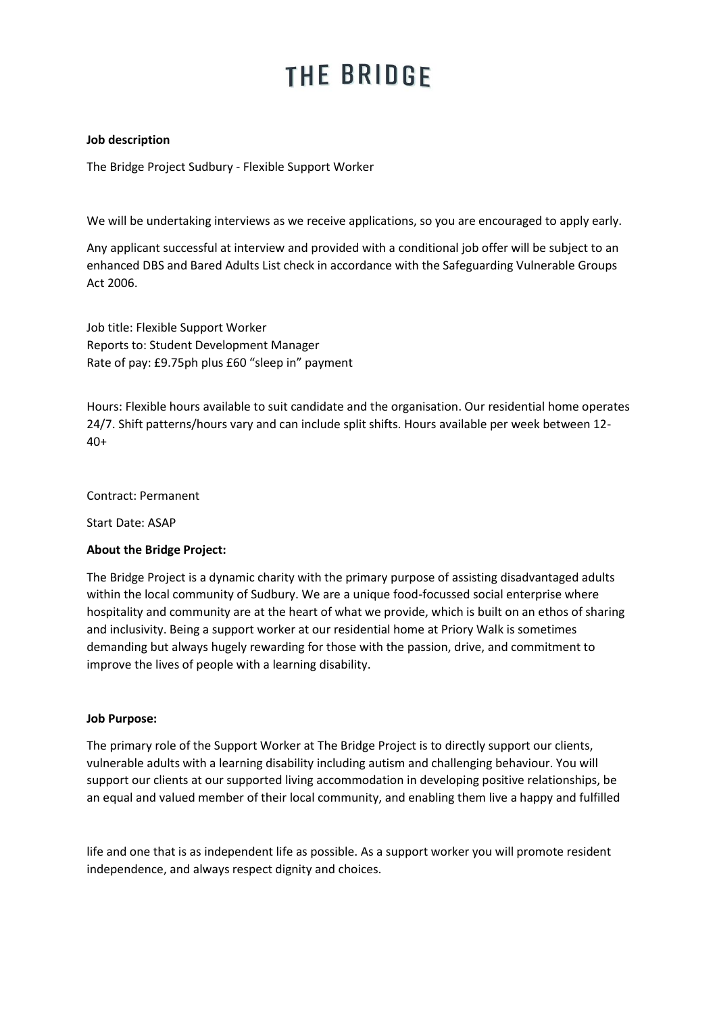# THE BRIDGE

### **Job description**

The Bridge Project Sudbury - Flexible Support Worker

We will be undertaking interviews as we receive applications, so you are encouraged to apply early.

Any applicant successful at interview and provided with a conditional job offer will be subject to an enhanced DBS and Bared Adults List check in accordance with the Safeguarding Vulnerable Groups Act 2006.

Job title: Flexible Support Worker Reports to: Student Development Manager Rate of pay: £9.75ph plus £60 "sleep in" payment

Hours: Flexible hours available to suit candidate and the organisation. Our residential home operates 24/7. Shift patterns/hours vary and can include split shifts. Hours available per week between 12- 40+

Contract: Permanent

Start Date: ASAP

### **About the Bridge Project:**

The Bridge Project is a dynamic charity with the primary purpose of assisting disadvantaged adults within the local community of Sudbury. We are a unique food-focussed social enterprise where hospitality and community are at the heart of what we provide, which is built on an ethos of sharing and inclusivity. Being a support worker at our residential home at Priory Walk is sometimes demanding but always hugely rewarding for those with the passion, drive, and commitment to improve the lives of people with a learning disability.

#### **Job Purpose:**

The primary role of the Support Worker at The Bridge Project is to directly support our clients, vulnerable adults with a learning disability including autism and challenging behaviour. You will support our clients at our supported living accommodation in developing positive relationships, be an equal and valued member of their local community, and enabling them live a happy and fulfilled

life and one that is as independent life as possible. As a support worker you will promote resident independence, and always respect dignity and choices.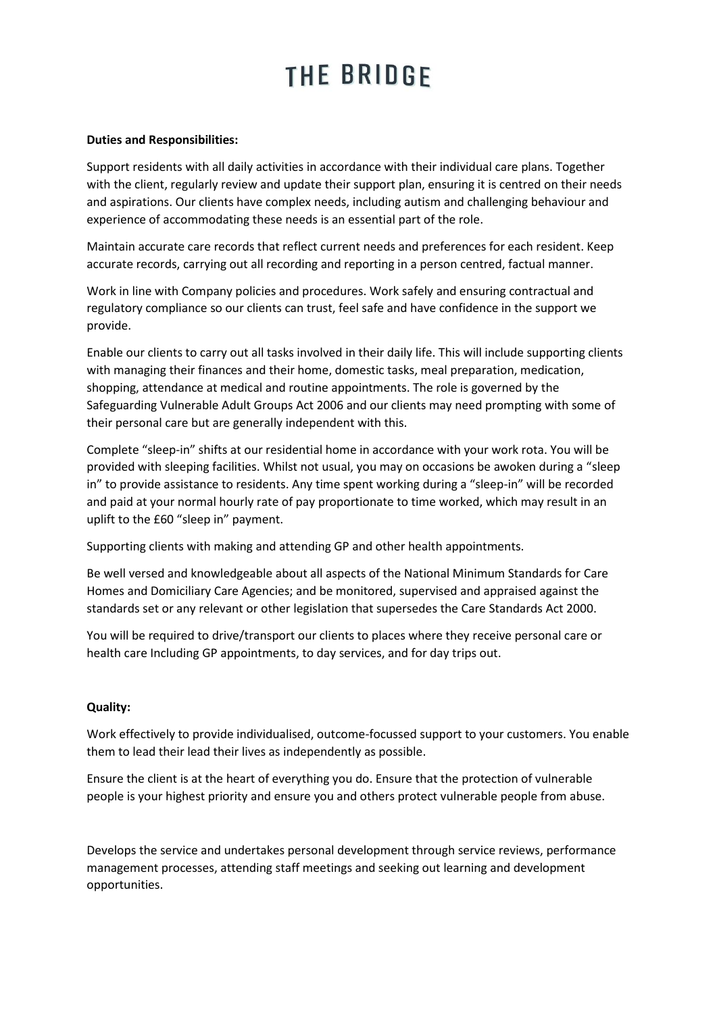# THE BRIDGE

#### **Duties and Responsibilities:**

Support residents with all daily activities in accordance with their individual care plans. Together with the client, regularly review and update their support plan, ensuring it is centred on their needs and aspirations. Our clients have complex needs, including autism and challenging behaviour and experience of accommodating these needs is an essential part of the role.

Maintain accurate care records that reflect current needs and preferences for each resident. Keep accurate records, carrying out all recording and reporting in a person centred, factual manner.

Work in line with Company policies and procedures. Work safely and ensuring contractual and regulatory compliance so our clients can trust, feel safe and have confidence in the support we provide.

Enable our clients to carry out all tasks involved in their daily life. This will include supporting clients with managing their finances and their home, domestic tasks, meal preparation, medication, shopping, attendance at medical and routine appointments. The role is governed by the Safeguarding Vulnerable Adult Groups Act 2006 and our clients may need prompting with some of their personal care but are generally independent with this.

Complete "sleep-in" shifts at our residential home in accordance with your work rota. You will be provided with sleeping facilities. Whilst not usual, you may on occasions be awoken during a "sleep in" to provide assistance to residents. Any time spent working during a "sleep-in" will be recorded and paid at your normal hourly rate of pay proportionate to time worked, which may result in an uplift to the £60 "sleep in" payment.

Supporting clients with making and attending GP and other health appointments.

Be well versed and knowledgeable about all aspects of the National Minimum Standards for Care Homes and Domiciliary Care Agencies; and be monitored, supervised and appraised against the standards set or any relevant or other legislation that supersedes the Care Standards Act 2000.

You will be required to drive/transport our clients to places where they receive personal care or health care Including GP appointments, to day services, and for day trips out.

#### **Quality:**

Work effectively to provide individualised, outcome-focussed support to your customers. You enable them to lead their lead their lives as independently as possible.

Ensure the client is at the heart of everything you do. Ensure that the protection of vulnerable people is your highest priority and ensure you and others protect vulnerable people from abuse.

Develops the service and undertakes personal development through service reviews, performance management processes, attending staff meetings and seeking out learning and development opportunities.